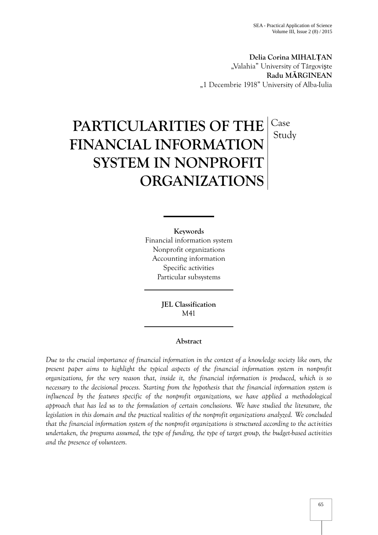**Delia Corina MIHALȚAN** "Valahia" University of Târgovi te **Radu MĂRGINEAN** "1 Decembrie 1918" University of Alba-Iulia

# **PARTICULARITIES OF THE FINANCIAL INFORMATION SYSTEM IN NONPROFIT ORGANIZATIONS** Case Study

**Keywords**

Financial information system Nonprofit organizations Accounting information Specific activities Particular subsystems

> **JEL Classification** M41

## **Abstract**

*Due to the crucial importance of financial information in the context of a knowledge society like ours, the present paper aims to highlight the typical aspects of the financial information system in nonprofit organizations, for the very reason that, inside it, the financial information is produced, which is so necessary to the decisional process. Starting from the hypothesis that the financial information system is influenced by the features specific of the nonprofit organizations, we have applied a methodological approach that has led us to the formulation of certain conclusions. We have studied the literature, the legislation in this domain and the practical realities of the nonprofit organizations analyzed. We concluded that the financial information system of the nonprofit organizations is structured according to the activities undertaken, the programs assumed, the type of funding, the type of target group, the budget-based activities and the presence of volunteers.*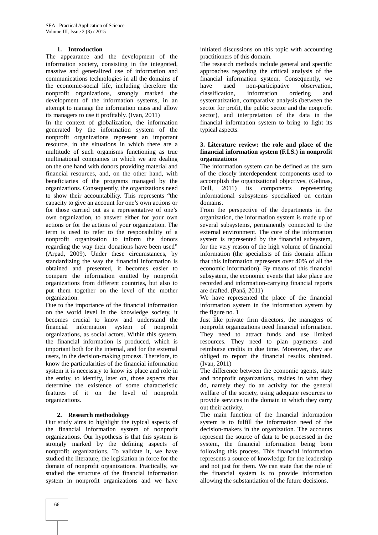## **1. Introduction**

The appearance and the development of the information society, consisting in the integrated, massive and generalized use of information and communications technologies in all the domains of the economic-social life, including therefore the nonprofit organizations, strongly marked the development of the information systems, in an attempt to manage the information mass and allow its managers to use it profitably. (Ivan, 2011)

In the context of globalization, the information generated by the information system of the nonprofit organizations represent an important resource, in the situations in which there are a multitude of such organisms functioning as true multinational companies in which we are dealing on the one hand with donors providing material and financial resources, and, on the other hand, with beneficiaries of the programs managed by the organizations. Consequently, the organizations need to show their accountability. This represents "the capacity to give an account for one's own actions or for those carried out as a representative of one's own organization, to answer either for your own actions or for the actions of your organization. The term is used to refer to the responsibility of a nonprofit organization to inform the donors regarding the way their donations have been used" (Arpad, 2009). Under these circumstances, by standardizing the way the financial information is obtained and presented, it becomes easier to compare the information emitted by nonprofit organizations from different countries, but also to put them together on the level of the mother organization.

Due to the importance of the financial information on the world level in the knowledge society, it becomes crucial to know and understand the financial information system of nonprofit organizations, as social actors. Within this system, the financial information is produced, which is important both for the internal, and for the external users, in the decision-making process. Therefore, to know the particularities of the financial information system it is necessary to know its place and role in the entity, to identify, later on, those aspects that determine the existence of some characteristic features of it on the level of nonprofit organizations.

### **2. Research methodology**

Our study aims to highlight the typical aspects of the financial information system of nonprofit organizations. Our hypothesis is that this system is strongly marked by the defining aspects of nonprofit organizations. To validate it, we have studied the literature, the legislation in force for the domain of nonprofit organizations. Practically, we studied the structure of the financial information system in nonprofit organizations and we have

initiated discussions on this topic with accounting practitioners of this domain.

The research methods include general and specific approaches regarding the critical analysis of the financial information system. Consequently, we have used non-participative observation, classification, information ordering and systematization, comparative analysis (between the sector for profit, the public sector and the nonprofit sector), and interpretation of the data in the financial information system to bring to light its typical aspects.

### **3. Literature review: the role and place of the financial information system (F.I.S.) in nonprofit organizations**

The information system can be defined as the sum of the closely interdependent components used to accomplish the organizational objectives, (Gelinas, 2011) its components representing informational subsystems specialized on certain domains.

From the perspective of the departments in the organization, the information system is made up of several subsystems, permanently connected to the external environment. The core of the information system is represented by the financial subsystem, for the very reason of the high volume of financial information (the specialists of this domain affirm that this information represents over 40% of all the economic information). By means of this financial subsystem, the economic events that take place are recorded and information-carrying financial reports are drafted.  $(Pan, 2011)$ 

We have represented the place of the financial information system in the information system by the figure no. 1

Just like private firm directors, the managers of nonprofit organizations need financial information. They need to attract funds and use limited resources. They need to plan payments and reimburse credits in due time. Moreover, they are obliged to report the financial results obtained. (Ivan, 2011)

The difference between the economic agents, state and nonprofit organizations, resides in what they do, namely they do an activity for the general welfare of the society, using adequate resources to provide services in the domain in which they carry out their activity.

The main function of the financial information system is to fulfill the information need of the decision-makers in the organization. The accounts represent the source of data to be processed in the system, the financial information being born following this process. This financial information represents a source of knowledge for the leadership and not just for them. We can state that the role of the financial system is to provide information allowing the substantiation of the future decisions.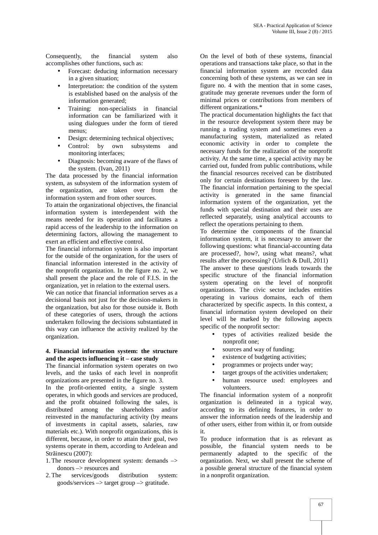Consequently, the financial system also accomplishes other functions, such as:

- Forecast: deducing information necessary in a given situation;
- Interpretation: the condition of the system is established based on the analysis of the information generated;
- Training: non-specialists in financial information can be familiarized with it using dialogues under the form of tiered menus;
- Design: determining technical objectives;
- Control: by own subsystems and monitoring interfaces;
- Diagnosis: becoming aware of the flaws of the system. (Ivan, 2011)

The data processed by the financial information system, as subsystem of the information system of the organization, are taken over from the information system and from other sources.

To attain the organizational objectives, the financial information system is interdependent with the means needed for its operation and facilitates a rapid access of the leadership to the information on determining factors, allowing the management to exert an efficient and effective control.

The financial information system is also important for the outside of the organization, for the users of financial information interested in the activity of the nonprofit organization. In the figure no. 2, we shall present the place and the role of F.I.S. in the organization, yet in relation to the external users.

We can notice that financial information serves as a decisional basis not just for the decision-makers in the organization, but also for those outside it. Both of these categories of users, through the actions undertaken following the decisions substantiated in this way can influence the activity realized by the organization.

#### **4. Financial information system: the structure and the aspects influencing it – case study**

The financial information system operates on two levels, and the tasks of each level in nonprofit organizations are presented in the figure no. 3.

In the profit-oriented entity, a single system operates, in which goods and services are produced, and the profit obtained following the sales, is distributed among the shareholders and/or reinvested in the manufacturing activity (by means of investments in capital assets, salaries, raw materials etc.). With nonprofit organizations, this is different, because, in order to attain their goal, two systems operate in them, according to Ardelean and Str inescu (2007):

- 1.The resource development system: demands –> donors –> resources and
- 2.The services/goods distribution system:  $goods/$ services  $\rightarrow$  target group  $\rightarrow$  gratitude.

On the level of both of these systems, financial operations and transactions take place, so that in the financial information system are recorded data concerning both of these systems, as we can see in figure no. 4 with the mention that in some cases, gratitude may generate revenues under the form of minimal prices or contributions from members of different organizations.\*

The practical documentation highlights the fact that in the resource development system there may be running a trading system and sometimes even a manufacturing system, materialized as related economic activity in order to complete the necessary funds for the realization of the nonprofit activity. At the same time, a special activity may be carried out, funded from public contributions, while the financial resources received can be distributed only for certain destinations foreseen by the law. The financial information pertaining to the special activity is generated in the same financial information system of the organization, yet the funds with special destination and their uses are reflected separately, using analytical accounts to reflect the operations pertaining to them.

To determine the components of the financial information system, it is necessary to answer the following questions: what financial-accounting data are processed?, how?, using what means?, what results after the processing? (Urlich & Dull, 2011)

The answer to these questions leads towards the specific structure of the financial information system operating on the level of nonprofit organizations. The civic sector includes entities operating in various domains, each of them characterized by specific aspects. In this context, a financial information system developed on their level will be marked by the following aspects specific of the nonprofit sector:

- types of activities realized beside the nonprofit one;
- sources and way of funding;
- existence of budgeting activities;
- programmes or projects under way;
- target groups of the activities undertaken;
- human resource used: employees and volunteers.

The financial information system of a nonprofit organization is delineated in a typical way, according to its defining features, in order to answer the information needs of the leadership and of other users, either from within it, or from outside it.

To produce information that is as relevant as possible, the financial system needs to be permanently adapted to the specific of the organization. Next, we shall present the scheme of a possible general structure of the financial system in a nonprofit organization.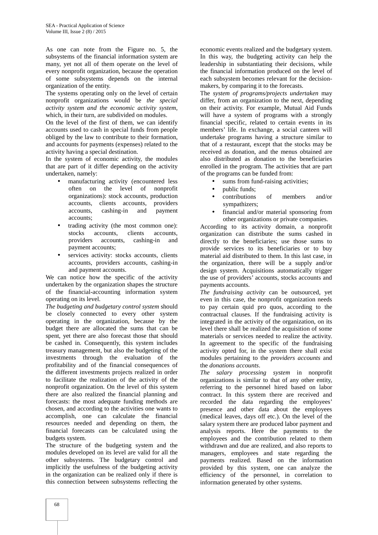As one can note from the Figure no. 5, the subsystems of the financial information system are many, yet not all of them operate on the level of every nonprofit organization, because the operation of some subsystems depends on the internal organization of the entity.

The systems operating only on the level of certain nonprofit organizations would be *the special activity system and the economic activity system*, which, in their turn, are subdivided on modules.

On the level of the first of them, we can identify accounts used to cash in special funds from people obliged by the law to contribute to their formation, and accounts for payments (expenses) related to the activity having a special destination.

In the system of economic activity, the modules that are part of it differ depending on the activity undertaken, namely:

- manufacturing activity (encountered less often on the level of nonprofit organizations): stock accounts, production accounts, clients accounts, providers accounts, cashing-in and payment accounts;
- trading activity (the most common one): stocks accounts, clients accounts, providers accounts, cashing-in and payment accounts;
- services activity: stocks accounts, clients accounts, providers accounts, cashing-in and payment accounts.

We can notice how the specific of the activity undertaken by the organization shapes the structure of the financial-accounting information system operating on its level.

*The budgeting and budgetary control system* should be closely connected to every other system operating in the organization, because by the budget there are allocated the sums that can be spent, yet there are also forecast those that should be cashed in. Consequently, this system includes treasury management, but also the budgeting of the investments through the evaluation of the profitability and of the financial consequences of the different investments projects realized in order to facilitate the realization of the activity of the nonprofit organization. On the level of this system there are also realized the financial planning and forecasts: the most adequate funding methods are chosen, and according to the activities one wants to accomplish, one can calculate the financial resources needed and depending on them, the financial forecasts can be calculated using the budgets system.

The structure of the budgeting system and the modules developed on its level are valid for all the other subsystems. The budgetary control and implicitly the usefulness of the budgeting activity in the organization can be realized only if there is this connection between subsystems reflecting the

economic events realized and the budgetary system. In this way, the budgeting activity can help the leadership in substantiating their decisions, while the financial information produced on the level of each subsystem becomes relevant for the decision makers, by comparing it to the forecasts.

The *system of programs/projects undertaken* may differ, from an organization to the next, depending on their activity. For example, Mutual Aid Funds will have a system of programs with a strongly financial specific, related to certain events in its members' life. In exchange, a social canteen will undertake programs having a structure similar to that of a restaurant, except that the stocks may be received as donation, and the menus obtained are also distributed as donation to the beneficiaries enrolled in the program. The activities that are part of the programs can be funded from:

- sums from fund-raising activities;
- public funds;
- contributions of members and/or sympathizers;
- financial and/or material sponsoring from other organizations or private companies.

According to its activity domain, a nonprofit organization can distribute the sums cashed in directly to the beneficiaries; use those sums to provide services to its beneficiaries or to buy material aid distributed to them. In this last case, in the organization, there will be a supply and/or design system. Acquisitions automatically trigger the use of providers' accounts, stocks accounts and payments accounts.

*The fundraising activity* can be outsourced, yet even in this case, the nonprofit organization needs to pay certain quid pro quos, according to the contractual clauses. If the fundraising activity is integrated in the activity of the organization, on its level there shall be realized the acquisition of some materials or services needed to realize the activity. In agreement to the specific of the fundraising activity opted for, in the system there shall exist modules pertaining to the *providers accounts* and the *donations accounts*.

*The salary processing system* in nonprofit organizations is similar to that of any other entity, referring to the personnel hired based on labor contract. In this system there are received and recorded the data regarding the employees' presence and other data about the employees (medical leaves, days off etc.). On the level of the salary system there are produced labor payment and analysis reports. Here the payments to the employees and the contribution related to them withdrawn and due are realized, and also reports to managers, employees and state regarding the payments realized. Based on the information provided by this system, one can analyze the efficiency of the personnel, in correlation to information generated by other systems.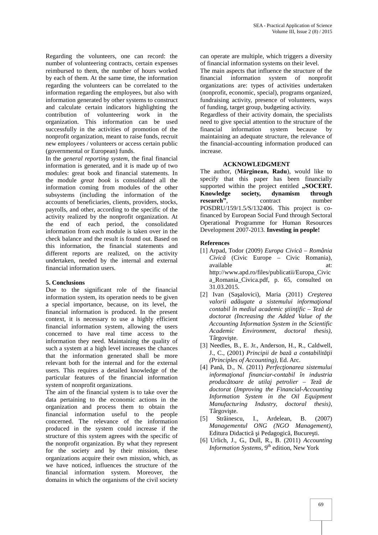Regarding the volunteers, one can record: the number of volunteering contracts, certain expenses reimbursed to them, the number of hours worked by each of them. At the same time, the information regarding the volunteers can be correlated to the information regarding the employees, but also with information generated by other systems to construct and calculate certain indicators highlighting the contribution of volunteering work in the organization. This information can be used successfully in the activities of promotion of the nonprofit organization, meant to raise funds, recruit new employees / volunteers or access certain public (governmental or European) funds.

In the *general reporting system*, the final financial information is generated, and it is made up of two modules: great book and financial statements. In the module *great book* is consolidated all the information coming from modules of the other subsystems (including the information of the accounts of beneficiaries, clients, providers, stocks, payrolls, and other, according to the specific of the activity realized by the nonprofit organization. At the end of each period, the consolidated information from each module is taken over in the check balance and the result is found out. Based on this information, the financial statements and different reports are realized, on the activity undertaken, needed by the internal and external financial information users.

### **5. Conclusions**

Due to the significant role of the financial information system, its operation needs to be given a special importance, because, on its level, the financial information is produced. In the present context, it is necessary to use a highly efficient financial information system, allowing the users concerned to have real time access to the information they need. Maintaining the quality of such a system at a high level increases the chances that the information generated shall be more relevant both for the internal and for the external users. This requires a detailed knowledge of the particular features of the financial information system of nonprofit organizations.

The aim of the financial system is to take over the data pertaining to the economic actions in the organization and process them to obtain the financial information useful to the people concerned. The relevance of the information [5] produced in the system could increase if the structure of this system agrees with the specific of the nonprofit organization. By what they represent for the society and by their mission, these organizations acquire their own mission, which, as we have noticed, influences the structure of the financial information system. Moreover, the domains in which the organisms of the civil society

can operate are multiple, which triggers a diversity of financial information systems on their level.

The main aspects that influence the structure of the financial information system of nonprofit organizations are: types of activities undertaken (nonprofit, economic, special), programs organized, fundraising activity, presence of volunteers, ways of funding, target group, budgeting activity.

Regardless of their activity domain, the specialists need to give special attention to the structure of the financial information system because by maintaining an adequate structure, the relevance of the financial-accounting information produced can increase.

## **ACKNOWLEDGMENT**

The author, (**Mărginean, Radu**), would like to specify that this paper has been financially supported within the project entitled "SOCERT. **Knowledge society, dynamism through research", contract mumber research"**, contract number POSDRU/159/1.5/S/132406. This project is cofinanced by European Social Fund through Sectoral Operational Programme for Human Resources Development 2007-2013. **Investing in people!**

### **References**

- [1] Arpad, Todor (2009) *Europa Civică – România Civică* (Civic Europe – Civic Romania), available at: at: http://www.apd.ro/files/publicatii/Europa\_Civic a\_Romania\_Civica.pdf, p. 65, consulted on 31.03.2015.
- [2] Ivan (Sa alovici), Maria (2011) *Cre terea valorii ad ugate a sistemului informa ional contabil în mediul academic tiin ific – Tez de doctorat (Increasing the Added Value of the Accounting Information System in the Scientific Academic Environment, doctoral thesis),* Târgovi te.
- [3] Needles, B., E. Jr., Anderson, H., R., Caldwell, J., C., (2001) *Principii de baz* a contabilit ii *(Principles of Accounting),* Ed. Arc.
- [4] Pan, D., N. (2011) *Perfec ionarea sistemului informaţional financiar-contabil în industria producătoare de utilaj petrolier – Teză de doctorat* (*Improving the Financial-Accounting Information System in the Oil Equipment Manufacturing Industry, doctoral thesis),* Târgovi te.
- Str inescu, I., Ardelean, B. (2007) *Managementul ONG (NGO Management)*, Editura Didactic i Pedagogic, Bucure ti.
- [6] Urlich, J., G., Dull, R., B. (2011) *Accounting Information Systems*, 9<sup>th</sup> edition, New York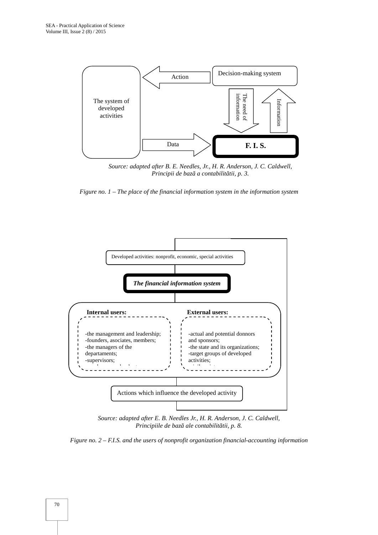

*Source: adapted after B. E. Needles, Jr., H. R. Anderson, J. C. Caldwell, Principii de baz* a contabilit tii, p. 3.





*Source: adapted after E. B. Needles Jr., H. R. Anderson, J. C. Caldwell, Principiile de baz ale contabilit tii, p. 8.* 

*Figure no. 2 – F.I.S. and the users of nonprofit organization financial-accounting information*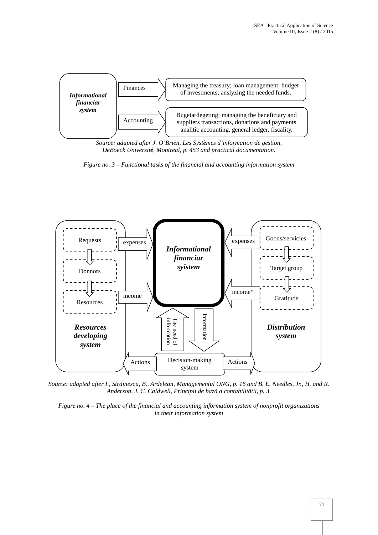

*Source: adapted after J. O'Brien, Les Systèmes d'information de gestion, DeBoeck Université, Montreal, p. 453 and practical documentation.*





*Source: adapted after I., Străinescu, B., Ardelean, Managementul ONG*, *p. 16 and B. E. Needles, Jr., H. and R.* Anderson, J. C. Caldwell, Principii de baz a contabilit tii, p. 3.

*Figure no. 4 – The place of the financial and accounting information system of nonprofit organizations in their information system*